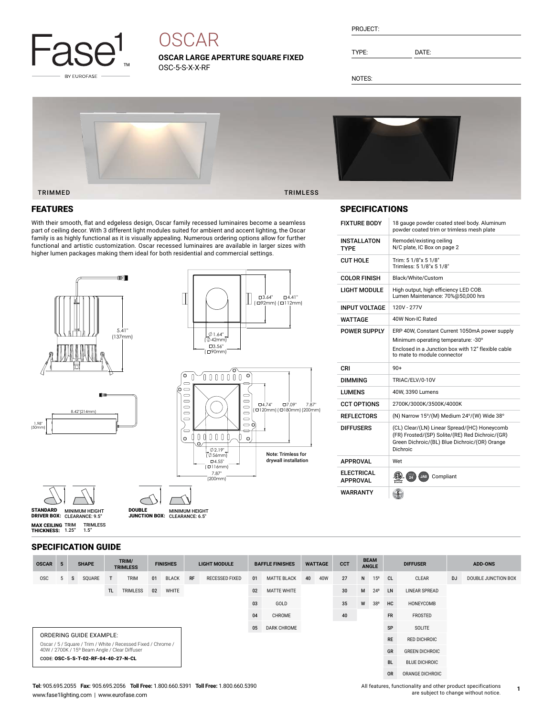

# **OSCAR**

**OSCAR LARGE APERTURE SQUARE FIXED** OSC-5-S-X-X-RF

| PROJECT: |  |
|----------|--|
|          |  |

TYPE: DATE:

NOTES:



# FEATURES

With their smooth, flat and edgeless design, Oscar family recessed luminaires become a seamless part of ceiling decor. With 3 different light modules suited for ambient and accent lighting, the Oscar

family is as highly functional as it is visually appealing. Numerous ordering options allow for further functional and artistic customization. Oscar recessed luminaires are available in larger sizes with higher lumen packages making them ideal for both residential and commercial settings.



# SPECIFICATIONS

| <b>FIXTURE BODY</b>                  | 18 gauge powder coated steel body. Aluminum<br>powder coated trim or trimless mesh plate                                                                     |
|--------------------------------------|--------------------------------------------------------------------------------------------------------------------------------------------------------------|
| INSTALLATON<br><b>TYPF</b>           | Remodel/existing ceiling<br>N/C plate, IC Box on page 2                                                                                                      |
| <b>CUT HOLE</b>                      | Trim: 5 1/8"x 5 1/8"<br>Trimless: 5 1/8"x 5 1/8"                                                                                                             |
| <b>COLOR FINISH</b>                  | Black/White/Custom                                                                                                                                           |
| LIGHT MODULE                         | High output, high efficiency LED COB.<br>Lumen Maintenance: 70%@50,000 hrs                                                                                   |
| <b>INPUT VOLTAGE</b>                 | 120V - 277V                                                                                                                                                  |
| WATTAGE                              | 40W Non-IC Rated                                                                                                                                             |
| <b>POWER SUPPLY</b>                  | ERP 40W, Constant Current 1050mA power supply                                                                                                                |
|                                      | Minimum operating temperature: -30°                                                                                                                          |
|                                      | Enclosed in a Junction box with 12" flexible cable<br>to mate to module connector                                                                            |
| CRI                                  | $90+$                                                                                                                                                        |
| DIMMING                              | TRIAC/ELV/0-10V                                                                                                                                              |
| <b>I UMFNS</b>                       | 40W. 3390 Lumens                                                                                                                                             |
| <b>CCT OPTIONS</b>                   | 2700K/3000K/3500K/4000K                                                                                                                                      |
| <b>REFLECTORS</b>                    | (N) Narrow 15°/(M) Medium 24°/(W) Wide 38°                                                                                                                   |
| <b>DIFFUSERS</b>                     | (CL) Clear/(LN) Linear Spread/(HC) Honeycomb<br>(FR) Frosted/(SP) Solite/(RE) Red Dichroic/(GR)<br>Green Dichroic/(BL) Blue Dichroic/(OR) Orange<br>Dichroic |
| APPROVAL                             | Wet                                                                                                                                                          |
| <b>ELECTRICAL</b><br><b>APPROVAL</b> | Œ<br>$\frac{1}{24}$<br>Compliant<br>JA8                                                                                                                      |
| WARRANTY                             | 5 <sup>°</sup>                                                                                                                                               |

|  |  | <b>SPECIFICATION GUIDE</b> |  |  |  |
|--|--|----------------------------|--|--|--|
|--|--|----------------------------|--|--|--|

| <b>OSCAR</b>                                                                                                   | 5              |   | <b>SHAPE</b> |     | TRIM/<br><b>TRIMLESS</b> |                    | <b>FINISHES</b> |           | <b>LIGHT MODULE</b>   |    | <b>BAFFLE FINISHES</b> |           | <b>WATTAGE</b>       | <b>CCT</b>            |           | <b>BEAM</b><br><b>ANGLE</b> | <b>DIFFUSER</b> |               | <b>ADD-ONS</b> |                     |
|----------------------------------------------------------------------------------------------------------------|----------------|---|--------------|-----|--------------------------|--------------------|-----------------|-----------|-----------------------|----|------------------------|-----------|----------------------|-----------------------|-----------|-----------------------------|-----------------|---------------|----------------|---------------------|
| <b>OSC</b>                                                                                                     | 5 <sup>5</sup> | s | SQUARE       | T   | <b>TRIM</b>              | 01                 | <b>BLACK</b>    | <b>RF</b> | <b>RECESSED FIXED</b> | 01 | <b>MATTE BLACK</b>     | 40        | 40W                  | 27                    | N         | 15 <sup>o</sup>             | CL.             | CLEAR         | <b>DJ</b>      | DOUBLE JUNCTION BOX |
|                                                                                                                |                |   |              | TL. | TRIMLESS                 | 02                 | WHITE           |           |                       | 02 | <b>MATTE WHITE</b>     |           |                      | 30                    | M         | $24^{\circ}$                | LN              | LINEAR SPREAD |                |                     |
|                                                                                                                |                |   |              |     |                          |                    | 03              | GOLD      |                       |    | 35                     | W         | 38°                  | <b>HC</b>             | HONEYCOMB |                             |                 |               |                |                     |
|                                                                                                                |                |   |              |     |                          | 04                 | CHROME          |           |                       | 40 |                        |           | <b>FR</b>            | FROSTED               |           |                             |                 |               |                |                     |
|                                                                                                                |                |   |              |     | 05                       | <b>DARK CHROME</b> |                 |           |                       |    |                        | <b>SP</b> | SOLITE               |                       |           |                             |                 |               |                |                     |
| ORDERING GUIDE EXAMPLE:                                                                                        |                |   |              |     |                          |                    |                 |           |                       |    |                        |           | <b>RE</b>            | <b>RED DICHROIC</b>   |           |                             |                 |               |                |                     |
| Oscar / 5 / Square / Trim / White / Recessed Fixed / Chrome /<br>40W / 2700K / 15° Beam Angle / Clear Diffuser |                |   |              |     |                          |                    |                 |           |                       |    |                        |           | GR                   | <b>GREEN DICHROIC</b> |           |                             |                 |               |                |                     |
| CODE: OSC-5-S-T-02-RF-04-40-27-N-CL                                                                            |                |   |              |     |                          |                    |                 |           |                       |    |                        | <b>BL</b> | <b>BLUE DICHROIC</b> |                       |           |                             |                 |               |                |                     |
|                                                                                                                |                |   |              |     |                          |                    |                 |           |                       |    |                        | <b>OR</b> | ORANGE DICHROIC      |                       |           |                             |                 |               |                |                     |

7.87"

#### **Tel:** 905.695.2055 **Fax:** 905.695.2056 **Toll Free:** 1.800.660.5391 **Toll Free:** 1.800.660.5390 www.fase1lighting.com | www.eurofase.com

All features, functionality and other product specifications are subject to change without notice.

**1**